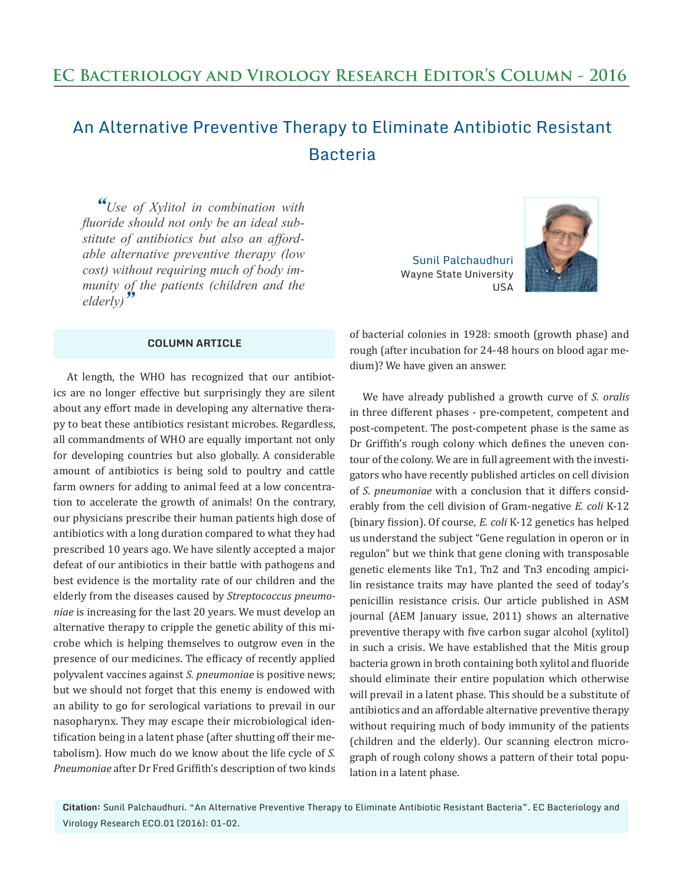## An Alternative Preventive Therapy to Eliminate Antibiotic Resistant **Bacteria**

*"Use of Xylitol in combination with fluoride should not only be an ideal substitute of antibiotics but also an affordable alternative preventive therapy (low cost) without requiring much of body immunity of the patients (children and the elderly)"*

## **COLUMN ARTICLE**

At length, the WHO has recognized that our antibiotics are no longer effective but surprisingly they are silent about any effort made in developing any alternative therapy to beat these antibiotics resistant microbes. Regardless, all commandments of WHO are equally important not only for developing countries but also globally. A considerable amount of antibiotics is being sold to poultry and cattle farm owners for adding to animal feed at a low concentration to accelerate the growth of animals! On the contrary, our physicians prescribe their human patients high dose of antibiotics with a long duration compared to what they had prescribed 10 years ago. We have silently accepted a major defeat of our antibiotics in their battle with pathogens and best evidence is the mortality rate of our children and the elderly from the diseases caused by *Streptococcus pneumoniae* is increasing for the last 20 years. We must develop an alternative therapy to cripple the genetic ability of this microbe which is helping themselves to outgrow even in the presence of our medicines. The efficacy of recently applied polyvalent vaccines against *S. pneumoniae* is positive news; but we should not forget that this enemy is endowed with an ability to go for serological variations to prevail in our nasopharynx. They may escape their microbiological identification being in a latent phase (after shutting off their metabolism). How much do we know about the life cycle of *S. Pneumoniae* after Dr Fred Griffith's description of two kinds

Sunil Palchaudhuri Wayne State University USA



of bacterial colonies in 1928: smooth (growth phase) and rough (after incubation for 24-48 hours on blood agar medium)? We have given an answer.

We have already published a growth curve of *S. oralis* in three different phases - pre-competent, competent and post-competent. The post-competent phase is the same as Dr Griffith's rough colony which defines the uneven contour of the colony. We are in full agreement with the investigators who have recently published articles on cell division of *S. pneumoniae* with a conclusion that it differs considerably from the cell division of Gram-negative *E. coli* K-12 (binary fission). Of course, *E. coli* K-12 genetics has helped us understand the subject "Gene regulation in operon or in regulon" but we think that gene cloning with transposable genetic elements like Tn1, Tn2 and Tn3 encoding ampicilin resistance traits may have planted the seed of today's penicillin resistance crisis. Our article published in ASM journal (AEM January issue, 2011) shows an alternative preventive therapy with five carbon sugar alcohol (xylitol) in such a crisis. We have established that the Mitis group bacteria grown in broth containing both xylitol and fluoride should eliminate their entire population which otherwise will prevail in a latent phase. This should be a substitute of antibiotics and an affordable alternative preventive therapy without requiring much of body immunity of the patients (children and the elderly). Our scanning electron micrograph of rough colony shows a pattern of their total population in a latent phase.

**Citation:** Sunil Palchaudhuri. "An Alternative Preventive Therapy to Eliminate Antibiotic Resistant Bacteria". EC Bacteriology and Virology Research ECO.01 (2016): 01-02.